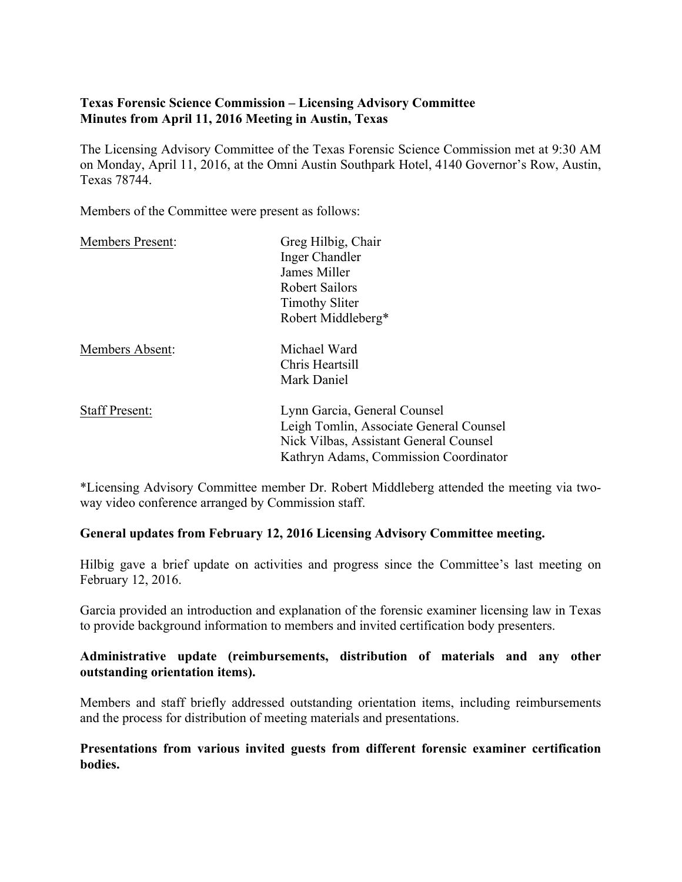# **Texas Forensic Science Commission – Licensing Advisory Committee Minutes from April 11, 2016 Meeting in Austin, Texas**

The Licensing Advisory Committee of the Texas Forensic Science Commission met at 9:30 AM on Monday, April 11, 2016, at the Omni Austin Southpark Hotel, 4140 Governor's Row, Austin, Texas 78744.

Members of the Committee were present as follows:

| <b>Members Present:</b> | Greg Hilbig, Chair                      |
|-------------------------|-----------------------------------------|
|                         | Inger Chandler                          |
|                         | James Miller                            |
|                         | <b>Robert Sailors</b>                   |
|                         | <b>Timothy Sliter</b>                   |
|                         | Robert Middleberg*                      |
| <b>Members Absent:</b>  | Michael Ward                            |
|                         | Chris Heartsill                         |
|                         | Mark Daniel                             |
| <b>Staff Present:</b>   | Lynn Garcia, General Counsel            |
|                         | Leigh Tomlin, Associate General Counsel |
|                         | Nick Vilbas, Assistant General Counsel  |
|                         | Kathryn Adams, Commission Coordinator   |

\*Licensing Advisory Committee member Dr. Robert Middleberg attended the meeting via twoway video conference arranged by Commission staff.

## **General updates from February 12, 2016 Licensing Advisory Committee meeting.**

Hilbig gave a brief update on activities and progress since the Committee's last meeting on February 12, 2016.

Garcia provided an introduction and explanation of the forensic examiner licensing law in Texas to provide background information to members and invited certification body presenters.

# **Administrative update (reimbursements, distribution of materials and any other outstanding orientation items).**

Members and staff briefly addressed outstanding orientation items, including reimbursements and the process for distribution of meeting materials and presentations.

### **Presentations from various invited guests from different forensic examiner certification bodies.**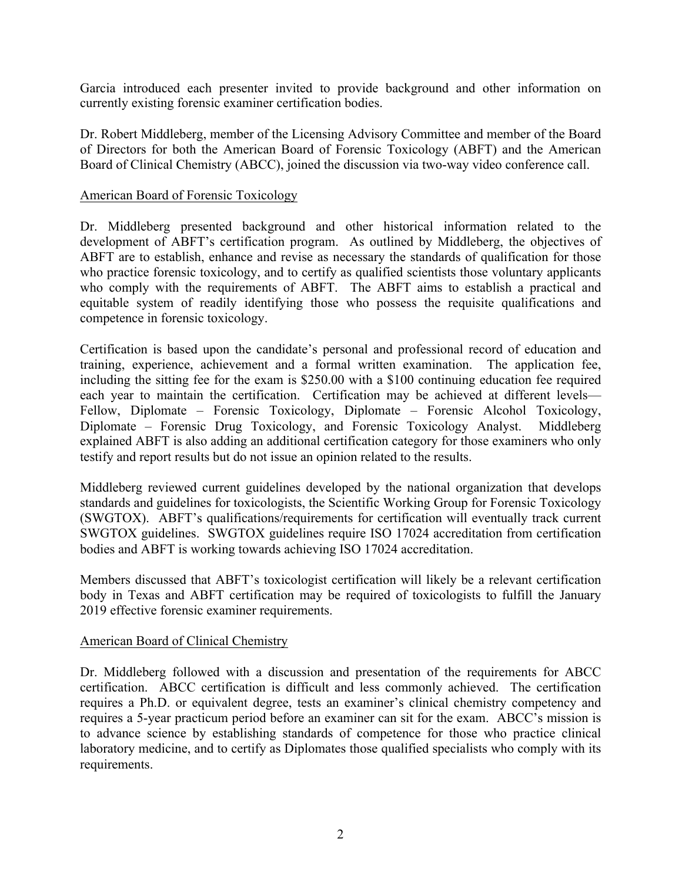Garcia introduced each presenter invited to provide background and other information on currently existing forensic examiner certification bodies.

Dr. Robert Middleberg, member of the Licensing Advisory Committee and member of the Board of Directors for both the American Board of Forensic Toxicology (ABFT) and the American Board of Clinical Chemistry (ABCC), joined the discussion via two-way video conference call.

#### American Board of Forensic Toxicology

Dr. Middleberg presented background and other historical information related to the development of ABFT's certification program. As outlined by Middleberg, the objectives of ABFT are to establish, enhance and revise as necessary the standards of qualification for those who practice forensic toxicology, and to certify as qualified scientists those voluntary applicants who comply with the requirements of ABFT. The ABFT aims to establish a practical and equitable system of readily identifying those who possess the requisite qualifications and competence in forensic toxicology.

Certification is based upon the candidate's personal and professional record of education and training, experience, achievement and a formal written examination. The application fee, including the sitting fee for the exam is \$250.00 with a \$100 continuing education fee required each year to maintain the certification. Certification may be achieved at different levels— Fellow, Diplomate – Forensic Toxicology, Diplomate – Forensic Alcohol Toxicology, Diplomate – Forensic Drug Toxicology, and Forensic Toxicology Analyst. Middleberg explained ABFT is also adding an additional certification category for those examiners who only testify and report results but do not issue an opinion related to the results.

Middleberg reviewed current guidelines developed by the national organization that develops standards and guidelines for toxicologists, the Scientific Working Group for Forensic Toxicology (SWGTOX). ABFT's qualifications/requirements for certification will eventually track current SWGTOX guidelines. SWGTOX guidelines require ISO 17024 accreditation from certification bodies and ABFT is working towards achieving ISO 17024 accreditation.

Members discussed that ABFT's toxicologist certification will likely be a relevant certification body in Texas and ABFT certification may be required of toxicologists to fulfill the January 2019 effective forensic examiner requirements.

### American Board of Clinical Chemistry

Dr. Middleberg followed with a discussion and presentation of the requirements for ABCC certification. ABCC certification is difficult and less commonly achieved. The certification requires a Ph.D. or equivalent degree, tests an examiner's clinical chemistry competency and requires a 5-year practicum period before an examiner can sit for the exam. ABCC's mission is to advance science by establishing standards of competence for those who practice clinical laboratory medicine, and to certify as Diplomates those qualified specialists who comply with its requirements.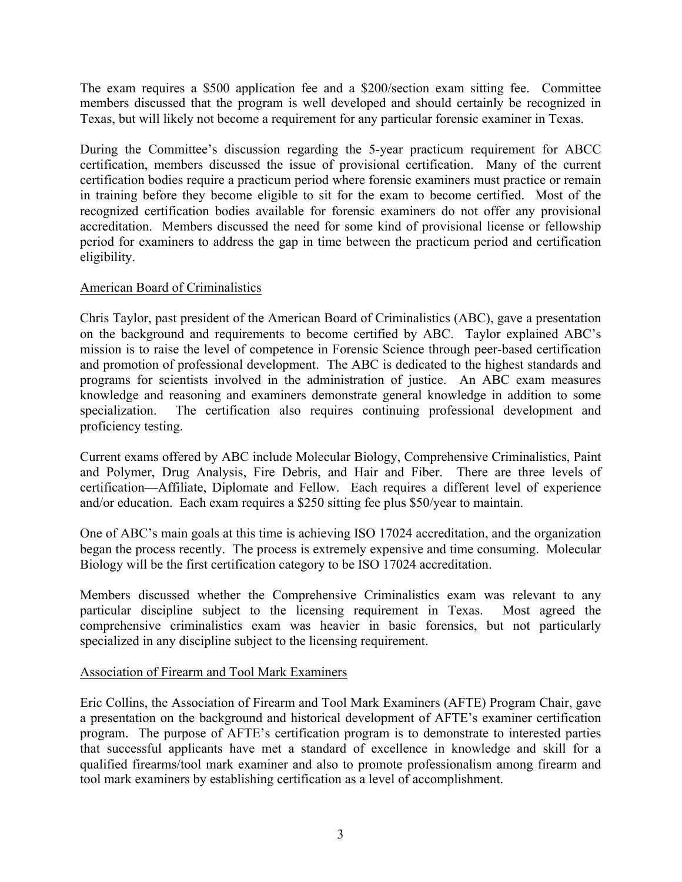The exam requires a \$500 application fee and a \$200/section exam sitting fee. Committee members discussed that the program is well developed and should certainly be recognized in Texas, but will likely not become a requirement for any particular forensic examiner in Texas.

During the Committee's discussion regarding the 5-year practicum requirement for ABCC certification, members discussed the issue of provisional certification. Many of the current certification bodies require a practicum period where forensic examiners must practice or remain in training before they become eligible to sit for the exam to become certified. Most of the recognized certification bodies available for forensic examiners do not offer any provisional accreditation. Members discussed the need for some kind of provisional license or fellowship period for examiners to address the gap in time between the practicum period and certification eligibility.

# American Board of Criminalistics

Chris Taylor, past president of the American Board of Criminalistics (ABC), gave a presentation on the background and requirements to become certified by ABC. Taylor explained ABC's mission is to raise the level of competence in Forensic Science through peer-based certification and promotion of professional development. The ABC is dedicated to the highest standards and programs for scientists involved in the administration of justice. An ABC exam measures knowledge and reasoning and examiners demonstrate general knowledge in addition to some specialization. The certification also requires continuing professional development and proficiency testing.

Current exams offered by ABC include Molecular Biology, Comprehensive Criminalistics, Paint and Polymer, Drug Analysis, Fire Debris, and Hair and Fiber. There are three levels of certification—Affiliate, Diplomate and Fellow. Each requires a different level of experience and/or education. Each exam requires a \$250 sitting fee plus \$50/year to maintain.

One of ABC's main goals at this time is achieving ISO 17024 accreditation, and the organization began the process recently. The process is extremely expensive and time consuming. Molecular Biology will be the first certification category to be ISO 17024 accreditation.

Members discussed whether the Comprehensive Criminalistics exam was relevant to any particular discipline subject to the licensing requirement in Texas. Most agreed the comprehensive criminalistics exam was heavier in basic forensics, but not particularly specialized in any discipline subject to the licensing requirement.

### Association of Firearm and Tool Mark Examiners

Eric Collins, the Association of Firearm and Tool Mark Examiners (AFTE) Program Chair, gave a presentation on the background and historical development of AFTE's examiner certification program. The purpose of AFTE's certification program is to demonstrate to interested parties that successful applicants have met a standard of excellence in knowledge and skill for a qualified firearms/tool mark examiner and also to promote professionalism among firearm and tool mark examiners by establishing certification as a level of accomplishment.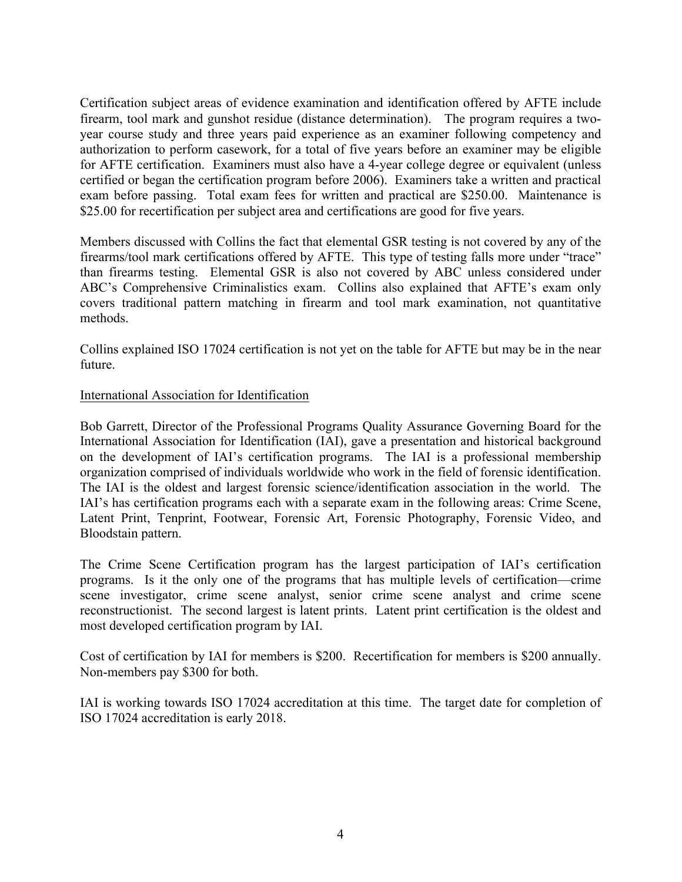Certification subject areas of evidence examination and identification offered by AFTE include firearm, tool mark and gunshot residue (distance determination). The program requires a twoyear course study and three years paid experience as an examiner following competency and authorization to perform casework, for a total of five years before an examiner may be eligible for AFTE certification. Examiners must also have a 4-year college degree or equivalent (unless certified or began the certification program before 2006). Examiners take a written and practical exam before passing. Total exam fees for written and practical are \$250.00. Maintenance is \$25.00 for recertification per subject area and certifications are good for five years.

Members discussed with Collins the fact that elemental GSR testing is not covered by any of the firearms/tool mark certifications offered by AFTE. This type of testing falls more under "trace" than firearms testing. Elemental GSR is also not covered by ABC unless considered under ABC's Comprehensive Criminalistics exam. Collins also explained that AFTE's exam only covers traditional pattern matching in firearm and tool mark examination, not quantitative methods.

Collins explained ISO 17024 certification is not yet on the table for AFTE but may be in the near future.

### International Association for Identification

Bob Garrett, Director of the Professional Programs Quality Assurance Governing Board for the International Association for Identification (IAI), gave a presentation and historical background on the development of IAI's certification programs. The IAI is a professional membership organization comprised of individuals worldwide who work in the field of forensic identification. The IAI is the oldest and largest forensic science/identification association in the world. The IAI's has certification programs each with a separate exam in the following areas: Crime Scene, Latent Print, Tenprint, Footwear, Forensic Art, Forensic Photography, Forensic Video, and Bloodstain pattern.

The Crime Scene Certification program has the largest participation of IAI's certification programs. Is it the only one of the programs that has multiple levels of certification—crime scene investigator, crime scene analyst, senior crime scene analyst and crime scene reconstructionist. The second largest is latent prints. Latent print certification is the oldest and most developed certification program by IAI.

Cost of certification by IAI for members is \$200. Recertification for members is \$200 annually. Non-members pay \$300 for both.

IAI is working towards ISO 17024 accreditation at this time. The target date for completion of ISO 17024 accreditation is early 2018.